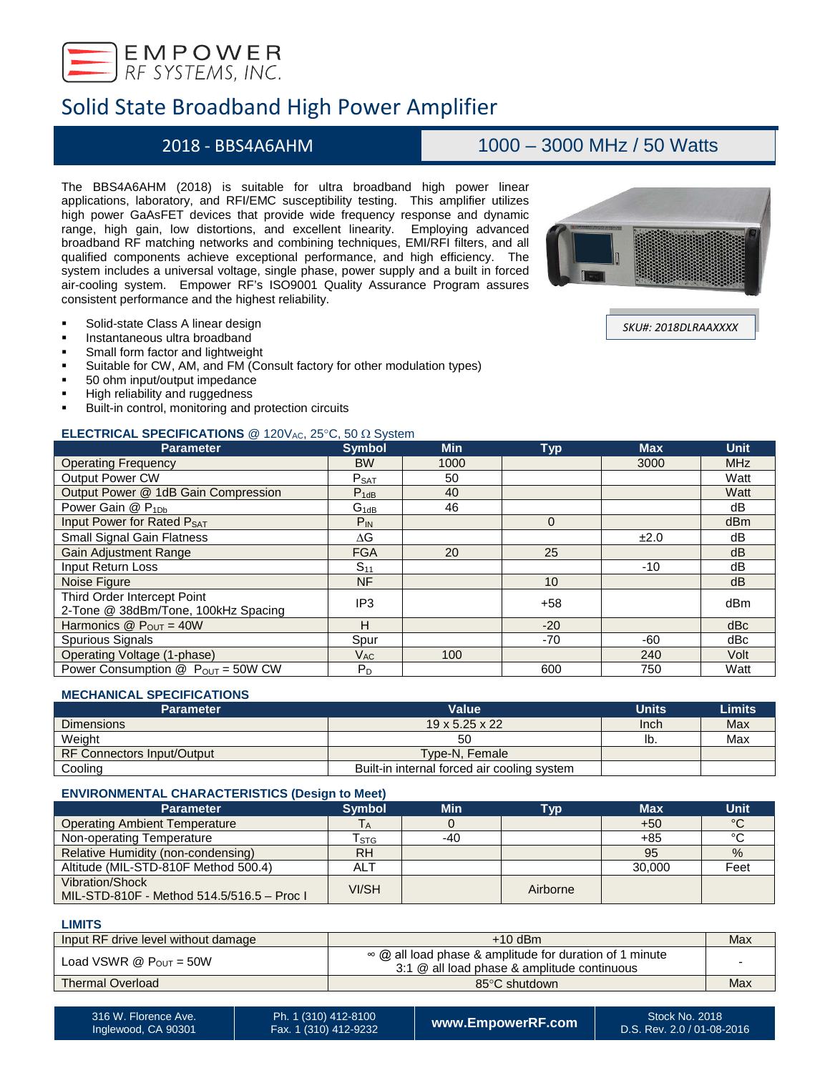

## Solid State Broadband High Power Amplifier

## 2018 - BBS4A6AHM 1000 – 3000 MHz / 50 Watts

The BBS4A6AHM (2018) is suitable for ultra broadband high power linear applications, laboratory, and RFI/EMC susceptibility testing. This amplifier utilizes high power GaAsFET devices that provide wide frequency response and dynamic range, high gain, low distortions, and excellent linearity. Employing advanced broadband RF matching networks and combining techniques, EMI/RFI filters, and all qualified components achieve exceptional performance, and high efficiency. The system includes a universal voltage, single phase, power supply and a built in forced air-cooling system. Empower RF's ISO9001 Quality Assurance Program assures consistent performance and the highest reliability.

- **Solid-state Class A linear design**
- Instantaneous ultra broadband
- Small form factor and lightweight
- Suitable for CW, AM, and FM (Consult factory for other modulation types)
- 50 ohm input/output impedance<br>■ High reliability and ruggedness
- High reliability and ruggedness
- Built-in control, monitoring and protection circuits

## **ELECTRICAL SPECIFICATIONS** @ 120V<sub>AC</sub>, 25°C, 50 Ω System

| <b>Parameter</b>                                                   | <b>Symbol</b>              | <b>Min</b> | <b>Typ</b> | <b>Max</b> | <b>Unit</b> |
|--------------------------------------------------------------------|----------------------------|------------|------------|------------|-------------|
| <b>Operating Frequency</b>                                         | <b>BW</b>                  | 1000       |            | 3000       | <b>MHz</b>  |
| <b>Output Power CW</b>                                             | $P_{SAT}$                  | 50         |            |            | Watt        |
| Output Power @ 1dB Gain Compression                                | $P_{1dB}$                  | 40         |            |            | Watt        |
| Power Gain @ P <sub>1Db</sub>                                      | $G_{1dB}$                  | 46         |            |            | dB          |
| Input Power for Rated PSAT                                         | $P_{IN}$                   |            | $\Omega$   |            | dBm         |
| <b>Small Signal Gain Flatness</b>                                  | ΔG                         |            |            | ±2.0       | dB          |
| <b>Gain Adjustment Range</b>                                       | <b>FGA</b>                 | 20         | 25         |            | dB          |
| <b>Input Return Loss</b>                                           | $S_{11}$                   |            |            | $-10$      | dB          |
| Noise Figure                                                       | <b>NF</b>                  |            | 10         |            | dB          |
| Third Order Intercept Point<br>2-Tone @ 38dBm/Tone, 100kHz Spacing | IP <sub>3</sub>            |            | $+58$      |            | dBm         |
| Harmonics $@P_{OUT} = 40W$                                         | н                          |            | $-20$      |            | dBc         |
| Spurious Signals                                                   | Spur                       |            | $-70$      | -60        | dBc         |
| Operating Voltage (1-phase)                                        | $\mathsf{V}_{\mathsf{AC}}$ | 100        |            | 240        | Volt        |
| Power Consumption $\textcircled{2}$ P <sub>OUT</sub> = 50W CW      | $P_D$                      |            | 600        | 750        | Watt        |

## **MECHANICAL SPECIFICATIONS**

| <b>Parameter</b>                  | Value                                       | <b>Units</b> | <b>Limits</b> |
|-----------------------------------|---------------------------------------------|--------------|---------------|
| <b>Dimensions</b>                 | $19 \times 5.25 \times 22$                  | Inch         | Max           |
| Weight                            | 50                                          | ID.          | Max           |
| <b>RF Connectors Input/Output</b> | Type-N, Female                              |              |               |
| Cooling                           | Built-in internal forced air cooling system |              |               |

### **ENVIRONMENTAL CHARACTERISTICS (Design to Meet)**

| <b>Parameter</b>                                              | <b>Symbol</b> | <b>Min</b> | Гур      | <b>Max</b> | Unit          |
|---------------------------------------------------------------|---------------|------------|----------|------------|---------------|
| <b>Operating Ambient Temperature</b>                          |               |            |          | $+50$      | °C            |
| Non-operating Temperature                                     | l stg         | -40        |          | $+85$      | $\circ$       |
| Relative Humidity (non-condensing)                            | <b>RH</b>     |            |          | 95         | $\frac{9}{6}$ |
| Altitude (MIL-STD-810F Method 500.4)                          | <b>ALT</b>    |            |          | 30,000     | Feet          |
| Vibration/Shock<br>MIL-STD-810F - Method 514.5/516.5 - Proc I | VI/SH         |            | Airborne |            |               |

#### **LIMITS**

| Input RF drive level without damage  | $+10$ dBm                                                                                              | Max |
|--------------------------------------|--------------------------------------------------------------------------------------------------------|-----|
| Load VSWR $@$ P <sub>OUT</sub> = 50W | ∞ @ all load phase & amplitude for duration of 1 minute<br>3:1 @ all load phase & amplitude continuous |     |
| <b>Thermal Overload</b>              | 85°C shutdown                                                                                          | Max |
|                                      |                                                                                                        |     |



*SKU#: 2018DLRAAXXXX*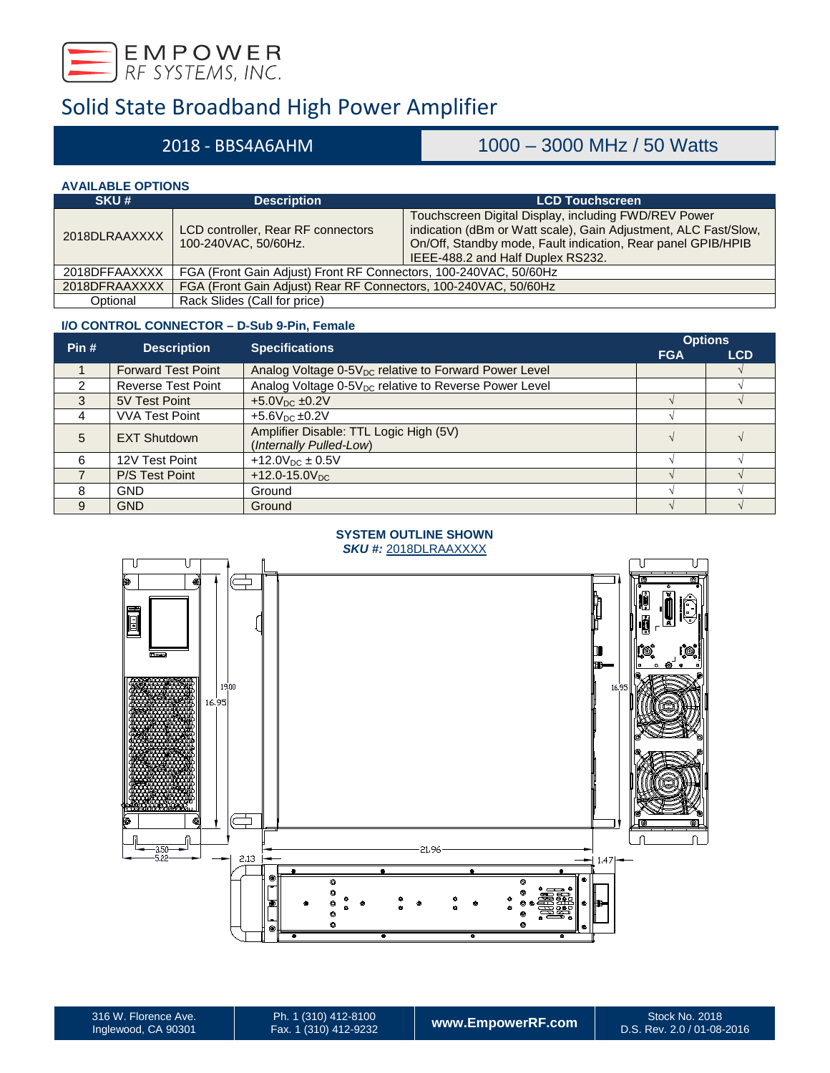

# Solid State Broadband High Power Amplifier

## 2018 - BBS4A6AHM 1000 – 3000 MHz / 50 Watts

## **AVAILABLE OPTIONS**

| SKU#          | <b>Description</b>                                               | <b>LCD Touchscreen</b>                                                                                                                                                                                                       |
|---------------|------------------------------------------------------------------|------------------------------------------------------------------------------------------------------------------------------------------------------------------------------------------------------------------------------|
| 2018DLRAAXXXX | LCD controller, Rear RF connectors<br>100-240VAC, 50/60Hz.       | Touchscreen Digital Display, including FWD/REV Power<br>indication (dBm or Watt scale), Gain Adjustment, ALC Fast/Slow,<br>On/Off, Standby mode, Fault indication, Rear panel GPIB/HPIB<br>IEEE-488.2 and Half Duplex RS232. |
| 2018DFFAAXXXX | FGA (Front Gain Adjust) Front RF Connectors, 100-240VAC, 50/60Hz |                                                                                                                                                                                                                              |
| 2018DFRAAXXXX | FGA (Front Gain Adjust) Rear RF Connectors, 100-240VAC, 50/60Hz  |                                                                                                                                                                                                                              |
| Optional      | Rack Slides (Call for price)                                     |                                                                                                                                                                                                                              |

### **I/O CONTROL CONNECTOR – D-Sub 9-Pin, Female**

| Pin#           |                           |                                                                   |            | <b>Options</b> |  |
|----------------|---------------------------|-------------------------------------------------------------------|------------|----------------|--|
|                | <b>Description</b>        | <b>Specifications</b>                                             | <b>FGA</b> | <b>LCD</b>     |  |
|                | <b>Forward Test Point</b> | Analog Voltage 0-5V <sub>DC</sub> relative to Forward Power Level |            |                |  |
| $\mathfrak{p}$ | <b>Reverse Test Point</b> | Analog Voltage 0-5V <sub>DC</sub> relative to Reverse Power Level |            |                |  |
| 3              | 5V Test Point             | $+5.0V_{DC}$ ±0.2V                                                |            |                |  |
| 4              | <b>VVA Test Point</b>     | $+5.6V_{DC}$ $\pm 0.2V$                                           |            |                |  |
| 5              | <b>EXT Shutdown</b>       | Amplifier Disable: TTL Logic High (5V)                            |            |                |  |
|                |                           | (Internally Pulled-Low)                                           |            |                |  |
| 6              | 12V Test Point            | +12.0 $V_{DC}$ ± 0.5V                                             |            |                |  |
|                | P/S Test Point            | $+12.0 - 15.0V_{DC}$                                              |            |                |  |
| 8              | <b>GND</b>                | Ground                                                            |            |                |  |
| 9              | <b>GND</b>                | Ground                                                            |            |                |  |

## **SYSTEM OUTLINE SHOWN**